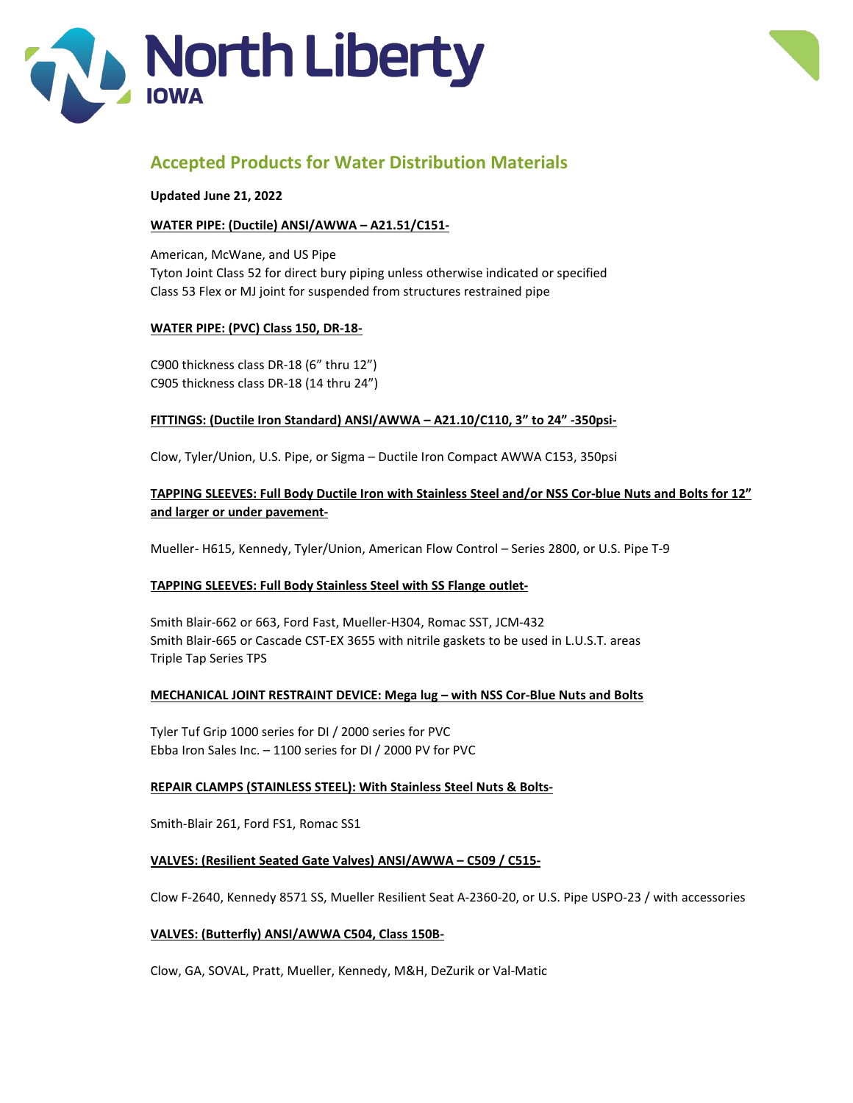



# **Accepted Products for Water Distribution Materials**

**Updated June 21, 2022**

# **WATER PIPE: (Ductile) ANSI/AWWA – A21.51/C151-**

American, McWane, and US Pipe Tyton Joint Class 52 for direct bury piping unless otherwise indicated or specified Class 53 Flex or MJ joint for suspended from structures restrained pipe

# **WATER PIPE: (PVC) Class 150, DR-18-**

C900 thickness class DR-18 (6" thru 12") C905 thickness class DR-18 (14 thru 24")

## **FITTINGS: (Ductile Iron Standard) ANSI/AWWA – A21.10/C110, 3" to 24" -350psi-**

Clow, Tyler/Union, U.S. Pipe, or Sigma – Ductile Iron Compact AWWA C153, 350psi

# **TAPPING SLEEVES: Full Body Ductile Iron with Stainless Steel and/or NSS Cor-blue Nuts and Bolts for 12" and larger or under pavement-**

Mueller- H615, Kennedy, Tyler/Union, American Flow Control – Series 2800, or U.S. Pipe T-9

# **TAPPING SLEEVES: Full Body Stainless Steel with SS Flange outlet-**

Smith Blair-662 or 663, Ford Fast, Mueller-H304, Romac SST, JCM-432 Smith Blair-665 or Cascade CST-EX 3655 with nitrile gaskets to be used in L.U.S.T. areas Triple Tap Series TPS

### **MECHANICAL JOINT RESTRAINT DEVICE: Mega lug – with NSS Cor-Blue Nuts and Bolts**

Tyler Tuf Grip 1000 series for DI / 2000 series for PVC Ebba Iron Sales Inc. – 1100 series for DI / 2000 PV for PVC

### **REPAIR CLAMPS (STAINLESS STEEL): With Stainless Steel Nuts & Bolts-**

Smith-Blair 261, Ford FS1, Romac SS1

## **VALVES: (Resilient Seated Gate Valves) ANSI/AWWA – C509 / C515-**

Clow F-2640, Kennedy 8571 SS, Mueller Resilient Seat A-2360-20, or U.S. Pipe USPO-23 / with accessories

### **VALVES: (Butterfly) ANSI/AWWA C504, Class 150B-**

Clow, GA, SOVAL, Pratt, Mueller, Kennedy, M&H, DeZurik or Val-Matic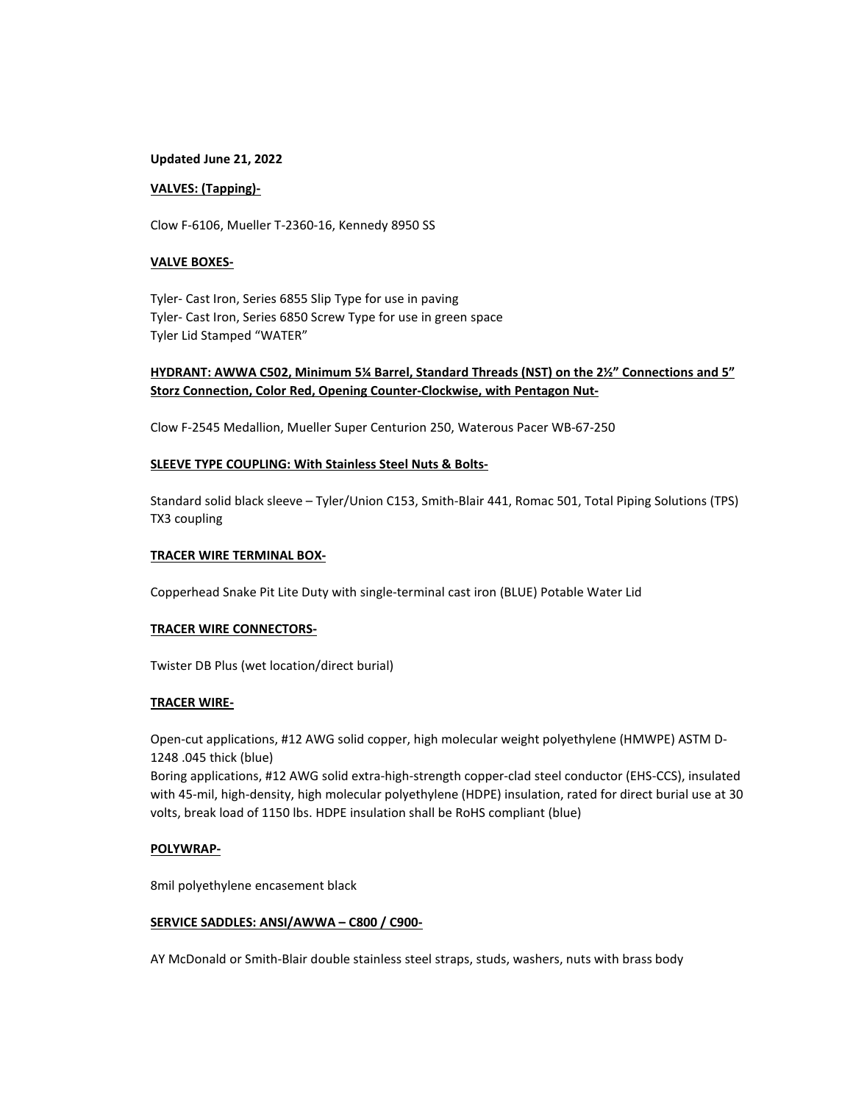#### **Updated June 21, 2022**

### **VALVES: (Tapping)-**

Clow F-6106, Mueller T-2360-16, Kennedy 8950 SS

### **VALVE BOXES-**

Tyler- Cast Iron, Series 6855 Slip Type for use in paving Tyler- Cast Iron, Series 6850 Screw Type for use in green space Tyler Lid Stamped "WATER"

# **HYDRANT: AWWA C502, Minimum 5¼ Barrel, Standard Threads (NST) on the 2½" Connections and 5" Storz Connection, Color Red, Opening Counter-Clockwise, with Pentagon Nut-**

Clow F-2545 Medallion, Mueller Super Centurion 250, Waterous Pacer WB-67-250

### **SLEEVE TYPE COUPLING: With Stainless Steel Nuts & Bolts-**

Standard solid black sleeve – Tyler/Union C153, Smith-Blair 441, Romac 501, Total Piping Solutions (TPS) TX3 coupling

#### **TRACER WIRE TERMINAL BOX-**

Copperhead Snake Pit Lite Duty with single-terminal cast iron (BLUE) Potable Water Lid

#### **TRACER WIRE CONNECTORS-**

Twister DB Plus (wet location/direct burial)

#### **TRACER WIRE-**

Open-cut applications, #12 AWG solid copper, high molecular weight polyethylene (HMWPE) ASTM D-1248 .045 thick (blue)

Boring applications, #12 AWG solid extra-high-strength copper-clad steel conductor (EHS-CCS), insulated with 45-mil, high-density, high molecular polyethylene (HDPE) insulation, rated for direct burial use at 30 volts, break load of 1150 lbs. HDPE insulation shall be RoHS compliant (blue)

#### **POLYWRAP-**

8mil polyethylene encasement black

#### **SERVICE SADDLES: ANSI/AWWA – C800 / C900-**

AY McDonald or Smith-Blair double stainless steel straps, studs, washers, nuts with brass body